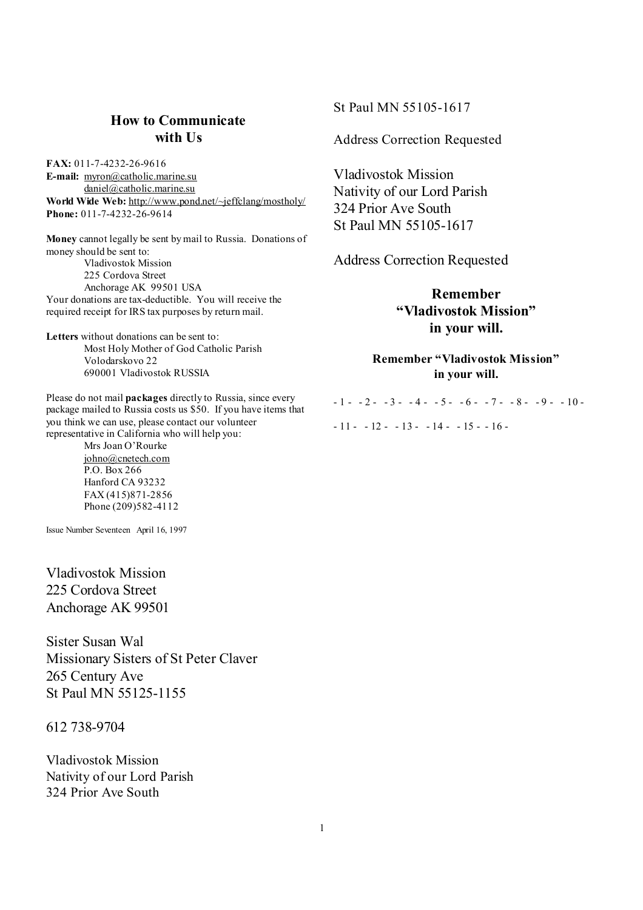# **How to Communicate with Us**

**FAX:** 011-7-4232-26-9616 **E-mail:** [myron@catholic.marine.su](mailto:myron@catholic.marine.su) [daniel@catholic.marine.su](mailto:daniel@catholic.marine.su) **World Wide Web:** <http://www.pond.net/~jeffclang/mostholy/> **Phone:** 011-7-4232-26-9614

**Money** cannot legally be sent by mail to Russia. Donations of money should be sent to: Vladivostok Mission 225 Cordova Street Anchorage AK 99501 USA Your donations are tax-deductible. You will receive the required receipt for IRS tax purposes by return mail.

**Letters** without donations can be sent to: Most Holy Mother of God Catholic Parish Volodarskovo 22 690001 Vladivostok RUSSIA

Please do not mail **packages** directly to Russia, since every package mailed to Russia costs us \$50. If you have items that you think we can use, please contact our volunteer representative in California who will help you:

Mrs Joan O'Rourke [johno@cnetech.com](mailto:johno@cnetech.com) P.O. Box 266 Hanford CA 93232 FAX (415)871-2856 Phone (209)582-4112

Issue Number Seventeen April 16, 1997

Vladivostok Mission 225 Cordova Street Anchorage AK 99501

Sister Susan Wal Missionary Sisters of St Peter Claver 265 Century Ave St Paul MN 55125-1155

612 738-9704

Vladivostok Mission Nativity of our Lord Parish 324 Prior Ave South

St Paul MN 55105-1617

Address Correction Requested

Vladivostok Mission Nativity of our Lord Parish 324 Prior Ave South St Paul MN 55105-1617

Address Correction Requested

**Remember "Vladivostok Mission" in your will.** 

**Remember "Vladivostok Mission" in your will.** 

 $-1 - 2 - 3 - 4 - 5 - 6 - 7 - 8 - 9 - 10 - 1$  $-11 - 12 - 13 - 14 - 15 - 16$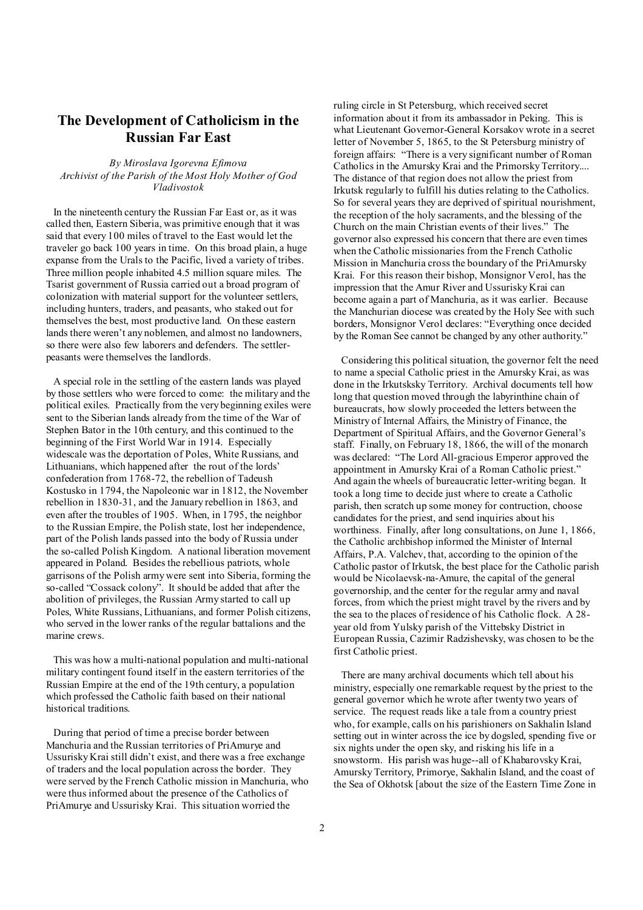## **The Development of Catholicism in the Russian Far East**

*By Miroslava Igorevna Efimova Archivist of the Parish of the Most Holy Mother of God Vladivostok* 

In the nineteenth century the Russian Far East or, as it was called then, Eastern Siberia, was primitive enough that it was said that every 100 miles of travel to the East would let the traveler go back 100 years in time. On this broad plain, a huge expanse from the Urals to the Pacific, lived a variety of tribes. Three million people inhabited 4.5 million square miles. The Tsarist government of Russia carried out a broad program of colonization with material support for the volunteer settlers, including hunters, traders, and peasants, who staked out for themselves the best, most productive land. On these eastern lands there weren't any noblemen, and almost no landowners, so there were also few laborers and defenders. The settlerpeasants were themselves the landlords.

A special role in the settling of the eastern lands was played by those settlers who were forced to come: the military and the political exiles. Practically from the very beginning exiles were sent to the Siberian lands already from the time of the War of Stephen Bator in the 10th century, and this continued to the beginning of the First World War in 1914. Especially widescale was the deportation of Poles, White Russians, and Lithuanians, which happened after the rout of the lords' confederation from 1768-72, the rebellion of Tadeush Kostusko in 1794, the Napoleonic war in 1812, the November rebellion in 1830-31, and the January rebellion in 1863, and even after the troubles of 1905. When, in 1795, the neighbor to the Russian Empire, the Polish state, lost her independence, part of the Polish lands passed into the body of Russia under the so-called Polish Kingdom. A national liberation movement appeared in Poland. Besides the rebellious patriots, whole garrisons of the Polish army were sent into Siberia, forming the so-called "Cossack colony". It should be added that after the abolition of privileges, the Russian Army started to call up Poles, White Russians, Lithuanians, and former Polish citizens, who served in the lower ranks of the regular battalions and the marine crews.

This was how a multi-national population and multi-national military contingent found itself in the eastern territories of the Russian Empire at the end of the 19th century, a population which professed the Catholic faith based on their national historical traditions.

During that period of time a precise border between Manchuria and the Russian territories of PriAmurye and Ussurisky Krai still didn't exist, and there was a free exchange of traders and the local population across the border. They were served by the French Catholic mission in Manchuria, who were thus informed about the presence of the Catholics of PriAmurye and Ussurisky Krai. This situation worried the

ruling circle in St Petersburg, which received secret information about it from its ambassador in Peking. This is what Lieutenant Governor-General Korsakov wrote in a secret letter of November 5, 1865, to the St Petersburg ministry of foreign affairs: "There is a very significant number of Roman Catholics in the Amursky Krai and the Primorsky Territory.... The distance of that region does not allow the priest from Irkutsk regularly to fulfill his duties relating to the Catholics. So for several years they are deprived of spiritual nourishment, the reception of the holy sacraments, and the blessing of the Church on the main Christian events of their lives." The governor also expressed his concern that there are even times when the Catholic missionaries from the French Catholic Mission in Manchuria cross the boundary of the PriAmursky Krai. For this reason their bishop, Monsignor Verol, has the impression that the Amur River and Ussurisky Krai can become again a part of Manchuria, as it was earlier. Because the Manchurian diocese was created by the Holy See with such borders, Monsignor Verol declares: "Everything once decided by the Roman See cannot be changed by any other authority."

 Considering this political situation, the governor felt the need to name a special Catholic priest in the Amursky Krai, as was done in the Irkutsksky Territory. Archival documents tell how long that question moved through the labyrinthine chain of bureaucrats, how slowly proceeded the letters between the Ministry of Internal Affairs, the Ministry of Finance, the Department of Spiritual Affairs, and the Governor General's staff. Finally, on February 18, 1866, the will of the monarch was declared: "The Lord All-gracious Emperor approved the appointment in Amursky Krai of a Roman Catholic priest." And again the wheels of bureaucratic letter-writing began. It took a long time to decide just where to create a Catholic parish, then scratch up some money for contruction, choose candidates for the priest, and send inquiries about his worthiness. Finally, after long consultations, on June 1, 1866, the Catholic archbishop informed the Minister of Internal Affairs, P.A. Valchev, that, according to the opinion of the Catholic pastor of Irkutsk, the best place for the Catholic parish would be Nicolaevsk-na-Amure, the capital of the general governorship, and the center for the regular army and naval forces, from which the priest might travel by the rivers and by the sea to the places of residence of his Catholic flock. A 28 year old from Yulsky parish of the Vittebsky District in European Russia, Cazimir Radzishevsky, was chosen to be the first Catholic priest.

 There are many archival documents which tell about his ministry, especially one remarkable request by the priest to the general governor which he wrote after twenty two years of service. The request reads like a tale from a country priest who, for example, calls on his parishioners on Sakhalin Island setting out in winter across the ice by dogsled, spending five or six nights under the open sky, and risking his life in a snowstorm. His parish was huge--all of Khabarovsky Krai, AmurskyTerritory, Primorye, Sakhalin Island, and the coast of the Sea of Okhotsk [about the size of the Eastern Time Zone in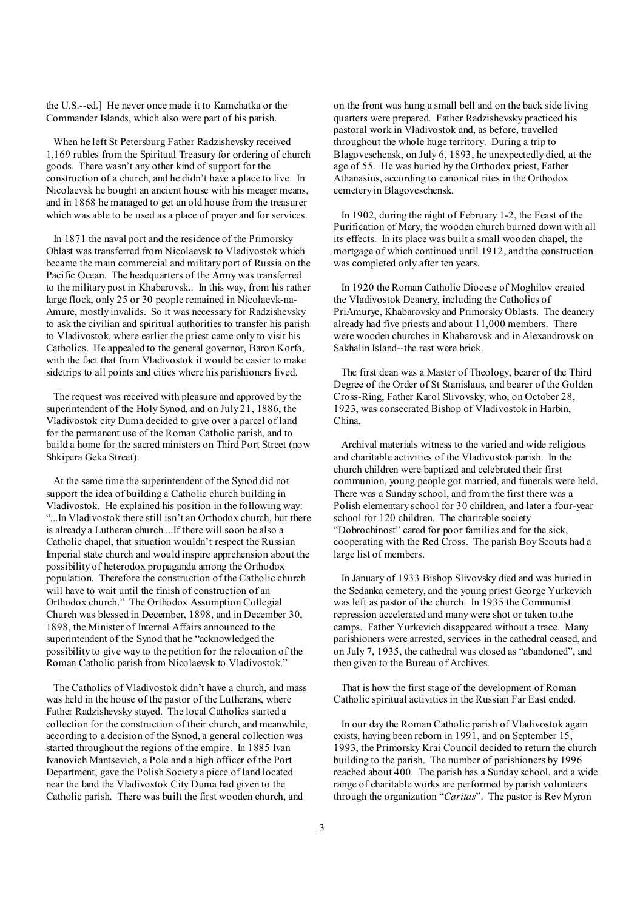the U.S.--ed.] He never once made it to Kamchatka or the Commander Islands, which also were part of his parish.

When he left St Petersburg Father Radzishevsky received 1,169 rubles from the Spiritual Treasury for ordering of church goods. There wasn't any other kind of support for the construction of a church, and he didn't have a place to live. In Nicolaevsk he bought an ancient house with his meager means, and in 1868 he managed to get an old house from the treasurer which was able to be used as a place of prayer and for services.

In 1871 the naval port and the residence of the Primorsky Oblast was transferred from Nicolaevsk to Vladivostok which became the main commercial and military port of Russia on the Pacific Ocean. The headquarters of the Army was transferred to the military post in Khabarovsk.. In this way, from his rather large flock, only 25 or 30 people remained in Nicolaevk-na-Amure, mostly invalids. So it was necessary for Radzishevsky to ask the civilian and spiritual authorities to transfer his parish to Vladivostok, where earlier the priest came only to visit his Catholics. He appealed to the general governor, Baron Korfa, with the fact that from Vladivostok it would be easier to make sidetrips to all points and cities where his parishioners lived.

The request was received with pleasure and approved by the superintendent of the Holy Synod, and on July 21, 1886, the Vladivostok city Duma decided to give over a parcel of land for the permanent use of the Roman Catholic parish, and to build a home for the sacred ministers on Third Port Street (now Shkipera Geka Street).

At the same time the superintendent of the Synod did not support the idea of building a Catholic church building in Vladivostok. He explained his position in the following way: "...In Vladivostok there still isn't an Orthodox church, but there is already a Lutheran church....If there will soon be also a Catholic chapel, that situation wouldn't respect the Russian Imperial state church and would inspire apprehension about the possibility of heterodox propaganda among the Orthodox population. Therefore the construction of the Catholic church will have to wait until the finish of construction of an Orthodox church." The Orthodox Assumption Collegial Church was blessed in December, 1898, and in December 30, 1898, the Minister of Internal Affairs announced to the superintendent of the Synod that he "acknowledged the possibility to give way to the petition for the relocation of the Roman Catholic parish from Nicolaevsk to Vladivostok."

The Catholics of Vladivostok didn't have a church, and mass was held in the house of the pastor of the Lutherans, where Father Radzishevsky stayed. The local Catholics started a collection for the construction of their church, and meanwhile, according to a decision of the Synod, a general collection was started throughout the regions of the empire. In 1885 Ivan Ivanovich Mantsevich, a Pole and a high officer of the Port Department, gave the Polish Society a piece of land located near the land the Vladivostok City Duma had given to the Catholic parish. There was built the first wooden church, and

on the front was hung a small bell and on the back side living quarters were prepared. Father Radzishevsky practiced his pastoral work in Vladivostok and, as before, travelled throughout the whole huge territory. During a trip to Blagoveschensk, on July 6, 1893, he unexpectedly died, at the age of 55. He was buried by the Orthodox priest, Father Athanasius, according to canonical rites in the Orthodox cemetery in Blagoveschensk.

 In 1902, during the night of February 1-2, the Feast of the Purification of Mary, the wooden church burned down with all its effects. In its place was built a small wooden chapel, the mortgage of which continued until 1912, and the construction was completed only after ten years.

 In 1920 the Roman Catholic Diocese of Moghilov created the Vladivostok Deanery, including the Catholics of PriAmurye, Khabarovsky and Primorsky Oblasts. The deanery already had five priests and about 11,000 members. There were wooden churches in Khabarovsk and in Alexandrovsk on Sakhalin Island--the rest were brick.

 The first dean was a Master of Theology, bearer of the Third Degree of the Order of St Stanislaus, and bearer of the Golden Cross-Ring, Father Karol Slivovsky, who, on October 28, 1923, was consecrated Bishop of Vladivostok in Harbin, China.

 Archival materials witness to the varied and wide religious and charitable activities of the Vladivostok parish. In the church children were baptized and celebrated their first communion, young people got married, and funerals were held. There was a Sunday school, and from the first there was a Polish elementary school for 30 children, and later a four-year school for 120 children. The charitable society "Dobrochinost" cared for poor families and for the sick, cooperating with the Red Cross. The parish Boy Scouts had a large list of members.

 In January of 1933 Bishop Slivovsky died and was buried in the Sedanka cemetery, and the young priest George Yurkevich was left as pastor of the church. In 1935 the Communist repression accelerated and many were shot or taken to.the camps. Father Yurkevich disappeared without a trace. Many parishioners were arrested, services in the cathedral ceased, and on July 7, 1935, the cathedral was closed as "abandoned", and then given to the Bureau of Archives.

 That is how the first stage of the development of Roman Catholic spiritual activities in the Russian Far East ended.

 In our day the Roman Catholic parish of Vladivostok again exists, having been reborn in 1991, and on September 15, 1993, the Primorsky Krai Council decided to return the church building to the parish. The number of parishioners by 1996 reached about 400. The parish has a Sunday school, and a wide range of charitable works are performed by parish volunteers through the organization "*Caritas*". The pastor is Rev Myron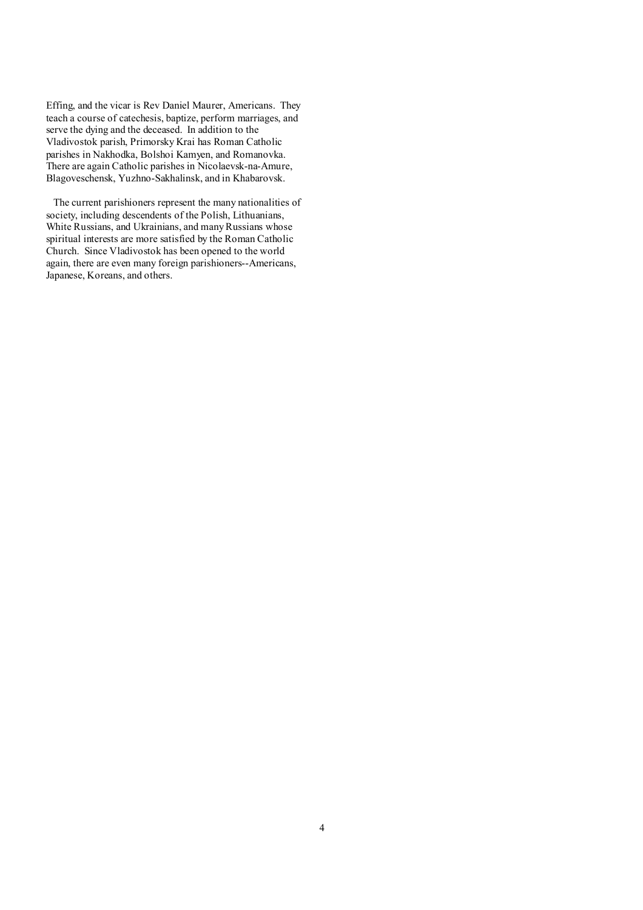Effing, and the vicar is Rev Daniel Maurer, Americans. They teach a course of catechesis, baptize, perform marriages, and serve the dying and the deceased. In addition to the Vladivostok parish, Primorsky Krai has Roman Catholic parishes in Nakhodka, Bolshoi Kamyen, and Romanovka. There are again Catholic parishes in Nicolaevsk-na-Amure, Blagoveschensk, Yuzhno-Sakhalinsk, and in Khabarovsk.

The current parishioners represent the many nationalities of society, including descendents of the Polish, Lithuanians, White Russians, and Ukrainians, and many Russians whose spiritual interests are more satisfied by the Roman Catholic Church. Since Vladivostok has been opened to the world again, there are even many foreign parishioners--Americans, Japanese, Koreans, and others.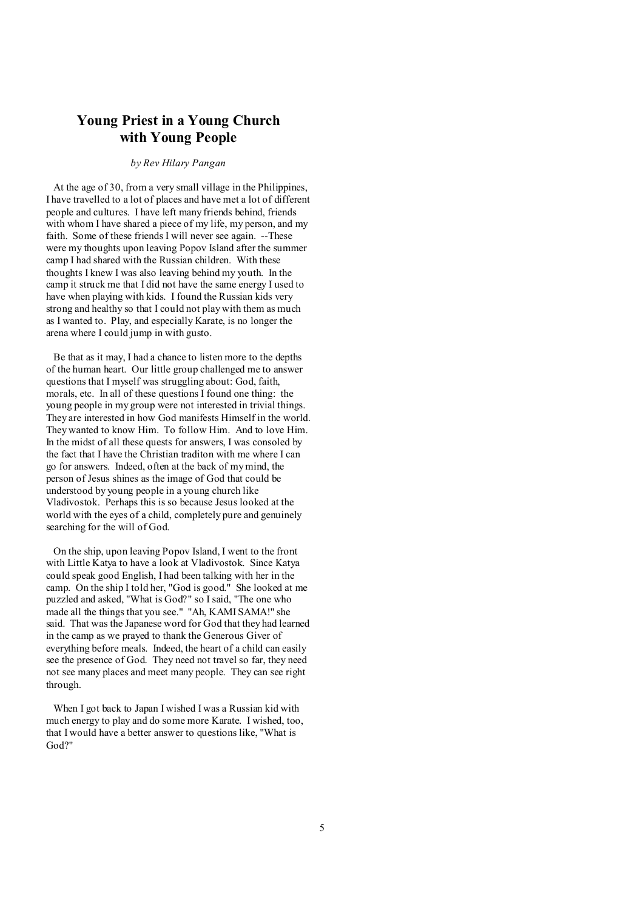## **Young Priest in a Young Church with Young People**

#### *by Rev Hilary Pangan*

At the age of 30, from a very small village in the Philippines, I have travelled to a lot of places and have met a lot of different people and cultures. I have left many friends behind, friends with whom I have shared a piece of my life, my person, and my faith. Some of these friends I will never see again. --These were my thoughts upon leaving Popov Island after the summer camp I had shared with the Russian children. With these thoughts I knew I was also leaving behind my youth. In the camp it struck me that I did not have the same energy I used to have when playing with kids. I found the Russian kids very strong and healthy so that I could not play with them as much as I wanted to. Play, and especially Karate, is no longer the arena where I could jump in with gusto.

Be that as it may, I had a chance to listen more to the depths of the human heart. Our little group challenged me to answer questions that I myself was struggling about: God, faith, morals, etc. In all of these questions I found one thing: the young people in my group were not interested in trivial things. They are interested in how God manifests Himself in the world. They wanted to know Him. To follow Him. And to love Him. In the midst of all these quests for answers, I was consoled by the fact that I have the Christian traditon with me where I can go for answers. Indeed, often at the back of mymind, the person of Jesus shines as the image of God that could be understood by young people in a young church like Vladivostok. Perhaps this is so because Jesus looked at the world with the eyes of a child, completely pure and genuinely searching for the will of God.

On the ship, upon leaving Popov Island, I went to the front with Little Katya to have a look at Vladivostok. Since Katya could speak good English, I had been talking with her in the camp. On the ship I told her, "God is good." She looked at me puzzled and asked, "What is God?" so I said, "The one who made all the things that you see." "Ah, KAMI SAMA!" she said. That was the Japanese word for God that they had learned in the camp as we prayed to thank the Generous Giver of everything before meals. Indeed, the heart of a child can easily see the presence of God. They need not travel so far, they need not see many places and meet many people. They can see right through.

When I got back to Japan I wished I was a Russian kid with much energy to play and do some more Karate. I wished, too, that I would have a better answer to questions like, "What is God?"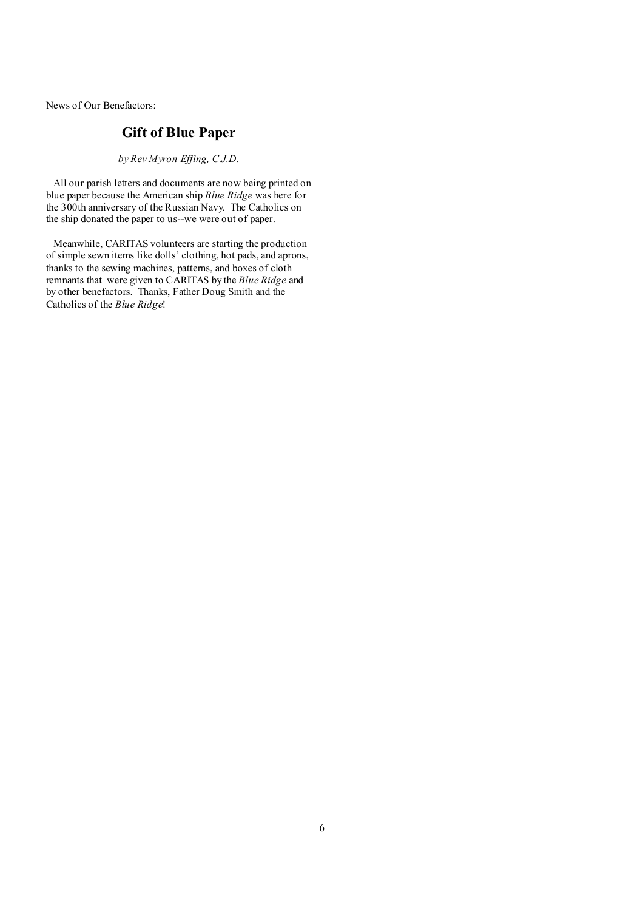News of Our Benefactors:

# **Gift of Blue Paper**

*by Rev Myron Effing, C.J.D.* 

All our parish letters and documents are now being printed on blue paper because the American ship *Blue Ridge* was here for the 300th anniversary of the Russian Navy. The Catholics on the ship donated the paper to us--we were out of paper.

Meanwhile, CARITAS volunteers are starting the production of simple sewn items like dolls' clothing, hot pads, and aprons, thanks to the sewing machines, patterns, and boxes of cloth remnants that were given to CARITAS by the *Blue Ridge* and by other benefactors. Thanks, Father Doug Smith and the Catholics of the *Blue Ridge*!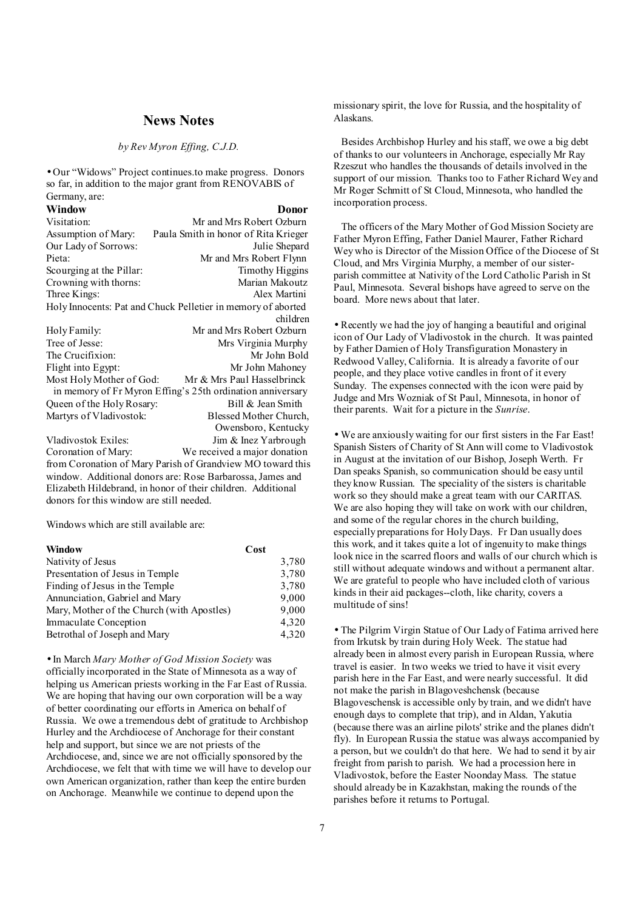### **News Notes**

#### *by Rev Myron Effing, C.J.D.*

• Our "Widows" Project continues.to make progress. Donors so far, in addition to the major grant from RENOVABIS of Germany, are:

| Window                                   | Donor                                                        |
|------------------------------------------|--------------------------------------------------------------|
| Visitation:                              | Mr and Mrs Robert Ozburn                                     |
| Assumption of Mary:                      | Paula Smith in honor of Rita Krieger                         |
| Our Lady of Sorrows:                     | Julie Shepard                                                |
| Pieta:                                   | Mr and Mrs Robert Flynn                                      |
| Scourging at the Pillar:                 | <b>Timothy Higgins</b>                                       |
| Crowning with thorns:                    | Marian Makoutz                                               |
| Three Kings:                             | Alex Martini                                                 |
|                                          | Holy Innocents: Pat and Chuck Pelletier in memory of aborted |
|                                          | children                                                     |
| Holy Family:                             | Mr and Mrs Robert Ozburn                                     |
| Tree of Jesse:                           | Mrs Virginia Murphy                                          |
| The Crucifixion:                         | Mr John Bold                                                 |
| Flight into Egypt:                       | Mr John Mahoney                                              |
| Most Holy Mother of God:                 | Mr & Mrs Paul Hasselbrinck                                   |
|                                          | in memory of Fr Myron Effing's 25th ordination anniversary   |
| Queen of the Holy Rosary:                | Bill & Jean Smith                                            |
| Martyrs of Vladivostok:                  | Blessed Mother Church,                                       |
|                                          | Owensboro, Kentucky                                          |
| Vladivostok Exiles:                      | Jim & Inez Yarbrough                                         |
| Coronation of Mary:                      | We received a major donation                                 |
|                                          | from Coronation of Mary Parish of Grandview MO toward this   |
|                                          | window. Additional donors are: Rose Barbarossa, James and    |
|                                          | Elizabeth Hildebrand, in honor of their children. Additional |
| donors for this window are still needed. |                                                              |

Windows which are still available are:

| Window                                     | Cost  |
|--------------------------------------------|-------|
| Nativity of Jesus                          | 3,780 |
| Presentation of Jesus in Temple            | 3,780 |
| Finding of Jesus in the Temple             | 3,780 |
| Annunciation, Gabriel and Mary             | 9,000 |
| Mary, Mother of the Church (with Apostles) | 9,000 |
| Immaculate Conception                      | 4,320 |
| Betrothal of Joseph and Mary               | 4,320 |

• In March *Mary Mother of God Mission Society* was officially incorporated in the State of Minnesota as a way of helping us American priests working in the Far East of Russia. We are hoping that having our own corporation will be a way of better coordinating our efforts in America on behalf of Russia. We owe a tremendous debt of gratitude to Archbishop Hurley and the Archdiocese of Anchorage for their constant help and support, but since we are not priests of the Archdiocese, and, since we are not officially sponsored by the Archdiocese, we felt that with time we will have to develop our own American organization, rather than keep the entire burden on Anchorage. Meanwhile we continue to depend upon the

missionary spirit, the love for Russia, and the hospitality of Alaskans.

 Besides Archbishop Hurley and his staff, we owe a big debt of thanks to our volunteers in Anchorage, especially Mr Ray Rzeszut who handles the thousands of details involved in the support of our mission. Thanks too to Father Richard Wey and Mr Roger Schmitt of St Cloud, Minnesota, who handled the incorporation process.

 The officers of the Mary Mother of God Mission Society are Father Myron Effing, Father Daniel Maurer, Father Richard Wey who is Director of the Mission Office of the Diocese of St Cloud, and Mrs Virginia Murphy, a member of our sisterparish committee at Nativity of the Lord Catholic Parish in St Paul, Minnesota. Several bishops have agreed to serve on the board. More news about that later.

• Recently we had the joy of hanging a beautiful and original icon of Our Lady of Vladivostok in the church. It was painted by Father Damien of Holy Transfiguration Monastery in Redwood Valley, California. It is already a favorite of our people, and they place votive candles in front of it every Sunday. The expenses connected with the icon were paid by Judge and Mrs Wozniak of St Paul, Minnesota, in honor of their parents. Wait for a picture in the *Sunrise*.

• We are anxiously waiting for our first sisters in the Far East! Spanish Sisters of Charity of St Ann will come to Vladivostok in August at the invitation of our Bishop, Joseph Werth. Fr Dan speaks Spanish, so communication should be easy until they know Russian. The speciality of the sisters is charitable work so they should make a great team with our CARITAS. We are also hoping they will take on work with our children, and some of the regular chores in the church building, especially preparations for Holy Days. Fr Dan usually does this work, and it takes quite a lot of ingenuity to make things look nice in the scarred floors and walls of our church which is still without adequate windows and without a permanent altar. We are grateful to people who have included cloth of various kinds in their aid packages--cloth, like charity, covers a multitude of sins!

• The Pilgrim Virgin Statue of Our Lady of Fatima arrived here from Irkutsk by train during Holy Week. The statue had already been in almost every parish in European Russia, where travel is easier. In two weeks we tried to have it visit every parish here in the Far East, and were nearly successful. It did not make the parish in Blagoveshchensk (because Blagoveschensk is accessible only by train, and we didn't have enough days to complete that trip), and in Aldan, Yakutia (because there was an airline pilots' strike and the planes didn't fly). In European Russia the statue was always accompanied by a person, but we couldn't do that here. We had to send it by air freight from parish to parish. We had a procession here in Vladivostok, before the Easter Noonday Mass. The statue should already be in Kazakhstan, making the rounds of the parishes before it returns to Portugal.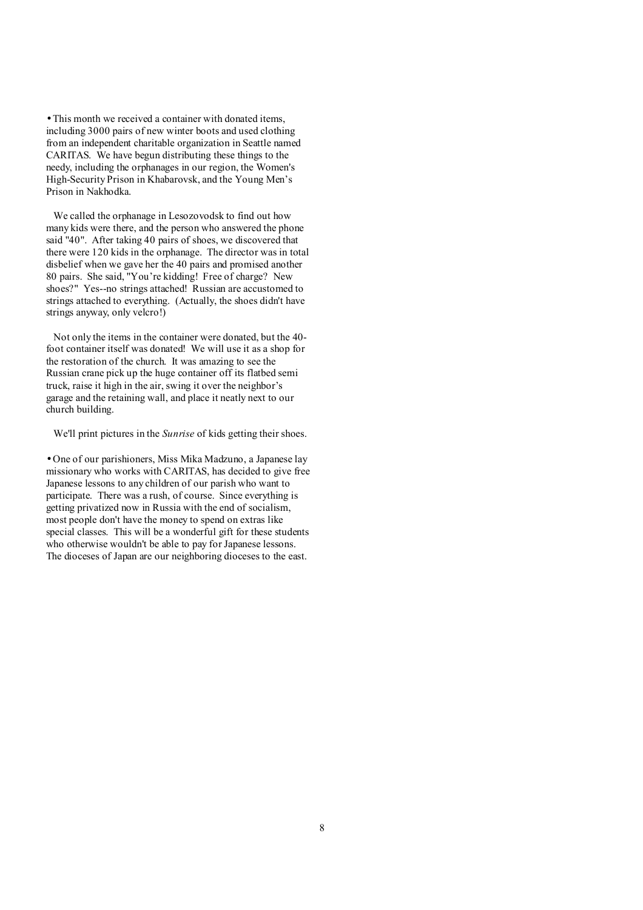• This month we received a container with donated items, including 3000 pairs of new winter boots and used clothing from an independent charitable organization in Seattle named CARITAS. We have begun distributing these things to the needy, including the orphanages in our region, the Women's High-Security Prison in Khabarovsk, and the Young Men's Prison in Nakhodka.

We called the orphanage in Lesozovodsk to find out how many kids were there, and the person who answered the phone said "40". After taking 40 pairs of shoes, we discovered that there were 120 kids in the orphanage. The director was in total disbelief when we gave her the 40 pairs and promised another 80 pairs. She said, "You're kidding! Free of charge? New shoes?" Yes--no strings attached! Russian are accustomed to strings attached to everything. (Actually, the shoes didn't have strings anyway, only velcro!)

Not only the items in the container were donated, but the 40 foot container itself was donated! We will use it as a shop for the restoration of the church. It was amazing to see the Russian crane pick up the huge container off its flatbed semi truck, raise it high in the air, swing it over the neighbor's garage and the retaining wall, and place it neatly next to our church building.

We'll print pictures in the *Sunrise* of kids getting their shoes.

• One of our parishioners, Miss Mika Madzuno, a Japanese lay missionary who works with CARITAS, has decided to give free Japanese lessons to any children of our parish who want to participate. There was a rush, of course. Since everything is getting privatized now in Russia with the end of socialism, most people don't have the money to spend on extras like special classes. This will be a wonderful gift for these students who otherwise wouldn't be able to pay for Japanese lessons. The dioceses of Japan are our neighboring dioceses to the east.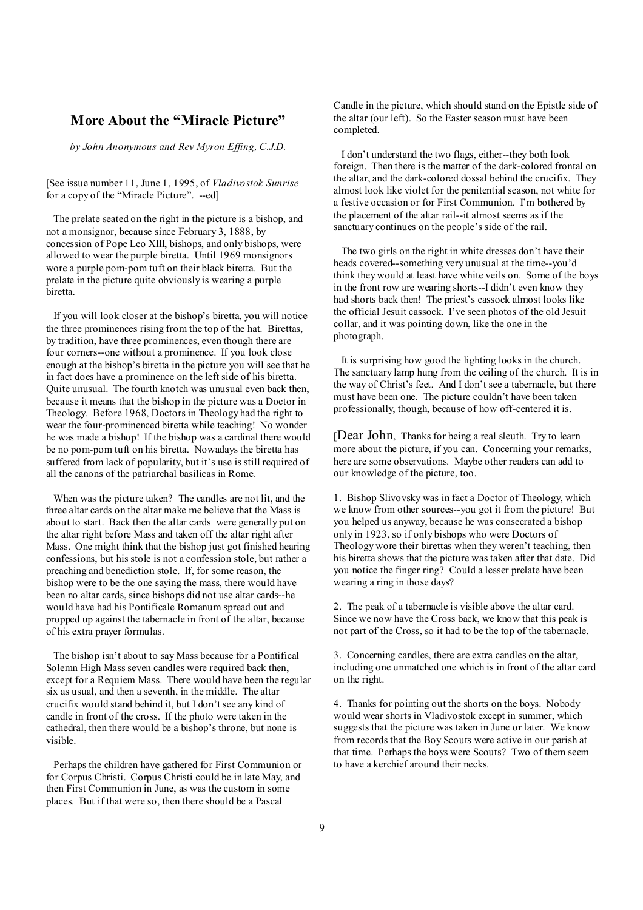## **More About the "Miracle Picture"**

*by John Anonymous and Rev Myron Effing, C.J.D.* 

[See issue number 11, June 1, 1995, of *Vladivostok Sunrise* for a copy of the "Miracle Picture". --ed]

The prelate seated on the right in the picture is a bishop, and not a monsignor, because since February 3, 1888, by concession of Pope Leo XIII, bishops, and only bishops, were allowed to wear the purple biretta. Until 1969 monsignors wore a purple pom-pom tuft on their black biretta. But the prelate in the picture quite obviously is wearing a purple biretta.

If you will look closer at the bishop's biretta, you will notice the three prominences rising from the top of the hat. Birettas, by tradition, have three prominences, even though there are four corners--one without a prominence. If you look close enough at the bishop's biretta in the picture you will see that he in fact does have a prominence on the left side of his biretta. Quite unusual. The fourth knotch was unusual even back then, because it means that the bishop in the picture was a Doctor in Theology. Before 1968, Doctors in Theology had the right to wear the four-prominenced biretta while teaching! No wonder he was made a bishop! If the bishop was a cardinal there would be no pom-pom tuft on his biretta. Nowadays the biretta has suffered from lack of popularity, but it's use is still required of all the canons of the patriarchal basilicas in Rome.

When was the picture taken? The candles are not lit, and the three altar cards on the altar make me believe that the Mass is about to start. Back then the altar cards were generally put on the altar right before Mass and taken off the altar right after Mass. One might think that the bishop just got finished hearing confessions, but his stole is not a confession stole, but rather a preaching and benediction stole. If, for some reason, the bishop were to be the one saying the mass, there would have been no altar cards, since bishops did not use altar cards--he would have had his Pontificale Romanum spread out and propped up against the tabernacle in front of the altar, because of his extra prayer formulas.

The bishop isn't about to say Mass because for a Pontifical Solemn High Mass seven candles were required back then, except for a Requiem Mass. There would have been the regular six as usual, and then a seventh, in the middle. The altar crucifix would stand behind it, but I don't see any kind of candle in front of the cross. If the photo were taken in the cathedral, then there would be a bishop's throne, but none is visible.

Perhaps the children have gathered for First Communion or for Corpus Christi. Corpus Christi could be in late May, and then First Communion in June, as was the custom in some places. But if that were so, then there should be a Pascal

Candle in the picture, which should stand on the Epistle side of the altar (our left). So the Easter season must have been completed.

 I don't understand the two flags, either--they both look foreign. Then there is the matter of the dark-colored frontal on the altar, and the dark-colored dossal behind the crucifix. They almost look like violet for the penitential season, not white for a festive occasion or for First Communion. I'm bothered by the placement of the altar rail--it almost seems as if the sanctuary continues on the people's side of the rail.

 The two girls on the right in white dresses don't have their heads covered--something very unusual at the time--you'd think they would at least have white veils on. Some of the boys in the front row are wearing shorts--I didn't even know they had shorts back then! The priest's cassock almost looks like the official Jesuit cassock. I've seen photos of the old Jesuit collar, and it was pointing down, like the one in the photograph.

 It is surprising how good the lighting looks in the church. The sanctuary lamp hung from the ceiling of the church. It is in the way of Christ's feet. And I don't see a tabernacle, but there must have been one. The picture couldn't have been taken professionally, though, because of how off-centered it is.

[Dear John, Thanks for being a real sleuth. Try to learn more about the picture, if you can. Concerning your remarks, here are some observations. Maybe other readers can add to our knowledge of the picture, too.

1. Bishop Slivovsky was in fact a Doctor of Theology, which we know from other sources--you got it from the picture! But you helped us anyway, because he was consecrated a bishop only in 1923, so if only bishops who were Doctors of Theology wore their birettas when they weren't teaching, then his biretta shows that the picture was taken after that date. Did you notice the finger ring? Could a lesser prelate have been wearing a ring in those days?

2. The peak of a tabernacle is visible above the altar card. Since we now have the Cross back, we know that this peak is not part of the Cross, so it had to be the top of the tabernacle.

3. Concerning candles, there are extra candles on the altar, including one unmatched one which is in front of the altar card on the right.

4. Thanks for pointing out the shorts on the boys. Nobody would wear shorts in Vladivostok except in summer, which suggests that the picture was taken in June or later. We know from records that the Boy Scouts were active in our parish at that time. Perhaps the boys were Scouts? Two of them seem to have a kerchief around their necks.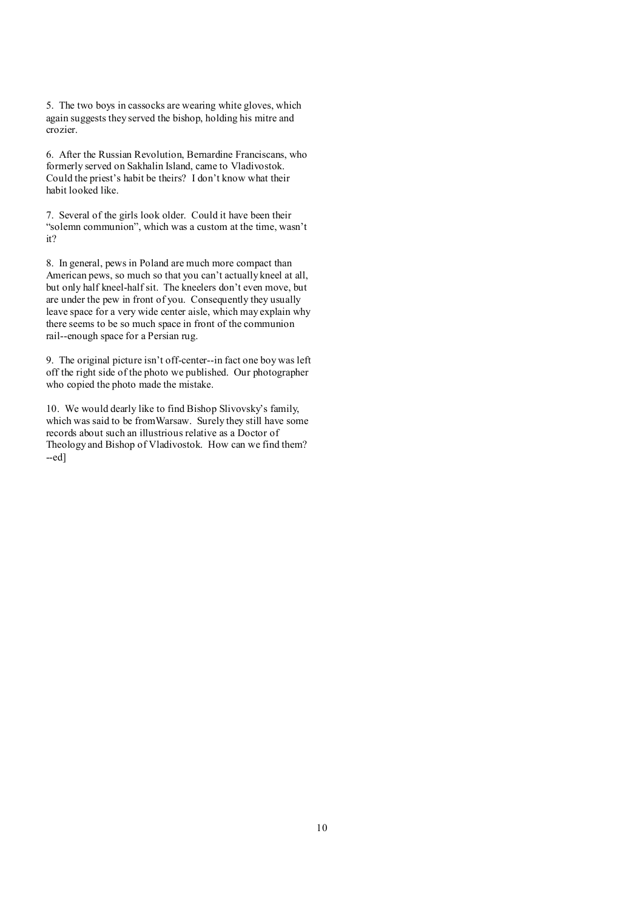5. The two boys in cassocks are wearing white gloves, which again suggests they served the bishop, holding his mitre and crozier.

6. After the Russian Revolution, Bernardine Franciscans, who formerly served on Sakhalin Island, came to Vladivostok. Could the priest's habit be theirs? I don't know what their habit looked like.

7. Several of the girls look older. Could it have been their "solemn communion", which was a custom at the time, wasn't it?

8. In general, pews in Poland are much more compact than American pews, so much so that you can't actually kneel at all, but only half kneel-half sit. The kneelers don't even move, but are under the pew in front of you. Consequently they usually leave space for a very wide center aisle, which may explain why there seems to be so much space in front of the communion rail--enough space for a Persian rug.

9. The original picture isn't off-center--in fact one boy was left off the right side of the photo we published. Our photographer who copied the photo made the mistake.

10. We would dearly like to find Bishop Slivovsky's family, which was said to be fromWarsaw. Surely they still have some records about such an illustrious relative as a Doctor of Theology and Bishop of Vladivostok. How can we find them?  $-ed$ ]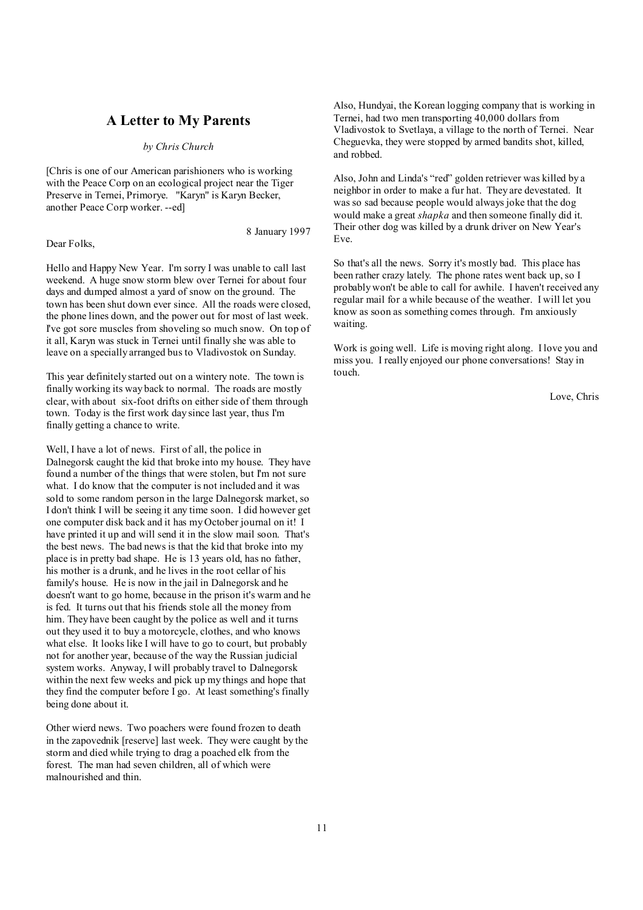## **A Letter to My Parents**

*by Chris Church* 

[Chris is one of our American parishioners who is working with the Peace Corp on an ecological project near the Tiger Preserve in Ternei, Primorye. "Karyn" is Karyn Becker, another Peace Corp worker. --ed]

Dear Folks,

8 January 1997

Hello and Happy New Year. I'm sorry I was unable to call last weekend. A huge snow storm blew over Ternei for about four days and dumped almost a yard of snow on the ground. The town has been shut down ever since. All the roads were closed, the phone lines down, and the power out for most of last week. I've got sore muscles from shoveling so much snow. On top of it all, Karyn was stuck in Ternei until finally she was able to leave on a specially arranged bus to Vladivostok on Sunday.

This year definitely started out on a wintery note. The town is finally working its way back to normal. The roads are mostly clear, with about six-foot drifts on either side of them through town. Today is the first work day since last year, thus I'm finally getting a chance to write.

Well, I have a lot of news. First of all, the police in Dalnegorsk caught the kid that broke into my house. They have found a number of the things that were stolen, but I'm not sure what. I do know that the computer is not included and it was sold to some random person in the large Dalnegorsk market, so I don't think I will be seeing it any time soon. I did however get one computer disk back and it has my October journal on it! I have printed it up and will send it in the slow mail soon. That's the best news. The bad news is that the kid that broke into my place is in pretty bad shape. He is 13 years old, has no father, his mother is a drunk, and he lives in the root cellar of his family's house. He is now in the jail in Dalnegorsk and he doesn't want to go home, because in the prison it's warm and he is fed. It turns out that his friends stole all the money from him. They have been caught by the police as well and it turns out they used it to buy a motorcycle, clothes, and who knows what else. It looks like I will have to go to court, but probably not for another year, because of the way the Russian judicial system works. Anyway, I will probably travel to Dalnegorsk within the next few weeks and pick up my things and hope that they find the computer before I go. At least something's finally being done about it.

Other wierd news. Two poachers were found frozen to death in the zapovednik [reserve] last week. They were caught by the storm and died while trying to drag a poached elk from the forest. The man had seven children, all of which were malnourished and thin.

Also, Hundyai, the Korean logging company that is working in Ternei, had two men transporting 40,000 dollars from Vladivostok to Svetlaya, a village to the north of Ternei. Near Cheguevka, they were stopped by armed bandits shot, killed, and robbed.

Also, John and Linda's "red" golden retriever was killed by a neighbor in order to make a fur hat. They are devestated. It was so sad because people would always joke that the dog would make a great *shapka* and then someone finally did it. Their other dog was killed by a drunk driver on New Year's Eve.

So that's all the news. Sorry it's mostly bad. This place has been rather crazy lately. The phone rates went back up, so I probably won't be able to call for awhile. I haven't received any regular mail for a while because of the weather. I will let you know as soon as something comes through. I'm anxiously waiting.

Work is going well. Life is moving right along. I love you and miss you. I really enjoyed our phone conversations! Stay in touch.

Love, Chris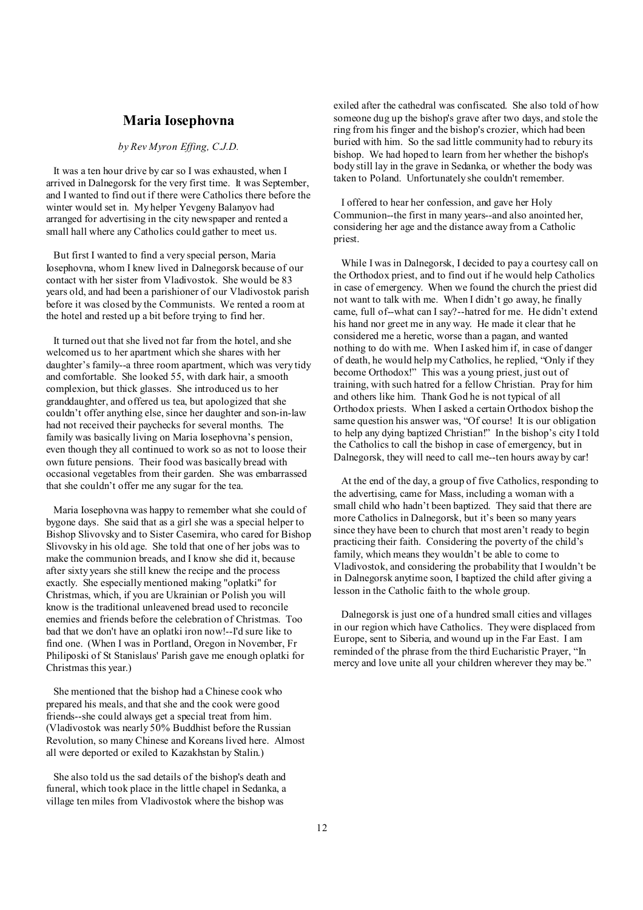## **Maria Iosephovna**

#### *by Rev Myron Effing, C.J.D.*

It was a ten hour drive by car so I was exhausted, when I arrived in Dalnegorsk for the very first time. It was September, and I wanted to find out if there were Catholics there before the winter would set in. My helper Yevgeny Balanyov had arranged for advertising in the city newspaper and rented a small hall where any Catholics could gather to meet us.

But first I wanted to find a very special person, Maria Iosephovna, whom I knew lived in Dalnegorsk because of our contact with her sister from Vladivostok. She would be 83 years old, and had been a parishioner of our Vladivostok parish before it was closed by the Communists. We rented a room at the hotel and rested up a bit before trying to find her.

It turned out that she lived not far from the hotel, and she welcomed us to her apartment which she shares with her daughter's family--a three room apartment, which was very tidy and comfortable. She looked 55, with dark hair, a smooth complexion, but thick glasses. She introduced us to her granddaughter, and offered us tea, but apologized that she couldn't offer anything else, since her daughter and son-in-law had not received their paychecks for several months. The family was basically living on Maria Iosephovna's pension, even though they all continued to work so as not to loose their own future pensions. Their food was basically bread with occasional vegetables from their garden. She was embarrassed that she couldn't offer me any sugar for the tea.

Maria Iosephovna was happy to remember what she could of bygone days. She said that as a girl she was a special helper to Bishop Slivovsky and to Sister Casemira, who cared for Bishop Slivovsky in his old age. She told that one of her jobs was to make the communion breads, and I know she did it, because after sixty years she still knew the recipe and the process exactly. She especially mentioned making "oplatki" for Christmas, which, if you are Ukrainian or Polish you will know is the traditional unleavened bread used to reconcile enemies and friends before the celebration of Christmas. Too bad that we don't have an oplatki iron now!--I'd sure like to find one. (When I was in Portland, Oregon in November, Fr Philiposki of St Stanislaus' Parish gave me enough oplatki for Christmas this year.)

She mentioned that the bishop had a Chinese cook who prepared his meals, and that she and the cook were good friends--she could always get a special treat from him. (Vladivostok was nearly 50% Buddhist before the Russian Revolution, so many Chinese and Koreans lived here. Almost all were deported or exiled to Kazakhstan by Stalin.)

She also told us the sad details of the bishop's death and funeral, which took place in the little chapel in Sedanka, a village ten miles from Vladivostok where the bishop was

exiled after the cathedral was confiscated. She also told of how someone dug up the bishop's grave after two days, and stole the ring from his finger and the bishop's crozier, which had been buried with him. So the sad little community had to rebury its bishop. We had hoped to learn from her whether the bishop's body still lay in the grave in Sedanka, or whether the body was taken to Poland. Unfortunately she couldn't remember.

 I offered to hear her confession, and gave her Holy Communion--the first in many years--and also anointed her, considering her age and the distance away from a Catholic priest.

 While I was in Dalnegorsk, I decided to pay a courtesy call on the Orthodox priest, and to find out if he would help Catholics in case of emergency. When we found the church the priest did not want to talk with me. When I didn't go away, he finally came, full of--what can I say?--hatred for me. He didn't extend his hand nor greet me in any way. He made it clear that he considered me a heretic, worse than a pagan, and wanted nothing to do with me. When I asked him if, in case of danger of death, he would help myCatholics, he replied, "Only if they become Orthodox!" This was a young priest, just out of training, with such hatred for a fellow Christian. Pray for him and others like him. Thank God he is not typical of all Orthodox priests. When I asked a certain Orthodox bishop the same question his answer was, "Of course! It is our obligation to help any dying baptized Christian!" In the bishop's city I told the Catholics to call the bishop in case of emergency, but in Dalnegorsk, they will need to call me--ten hours away by car!

 At the end of the day, a group of five Catholics, responding to the advertising, came for Mass, including a woman with a small child who hadn't been baptized. They said that there are more Catholics in Dalnegorsk, but it's been so many years since they have been to church that most aren't ready to begin practicing their faith. Considering the poverty of the child's family, which means they wouldn't be able to come to Vladivostok, and considering the probability that I wouldn't be in Dalnegorsk anytime soon, I baptized the child after giving a lesson in the Catholic faith to the whole group.

 Dalnegorsk is just one of a hundred small cities and villages in our region which have Catholics. They were displaced from Europe, sent to Siberia, and wound up in the Far East. I am reminded of the phrase from the third Eucharistic Prayer, "In mercy and love unite all your children wherever they may be."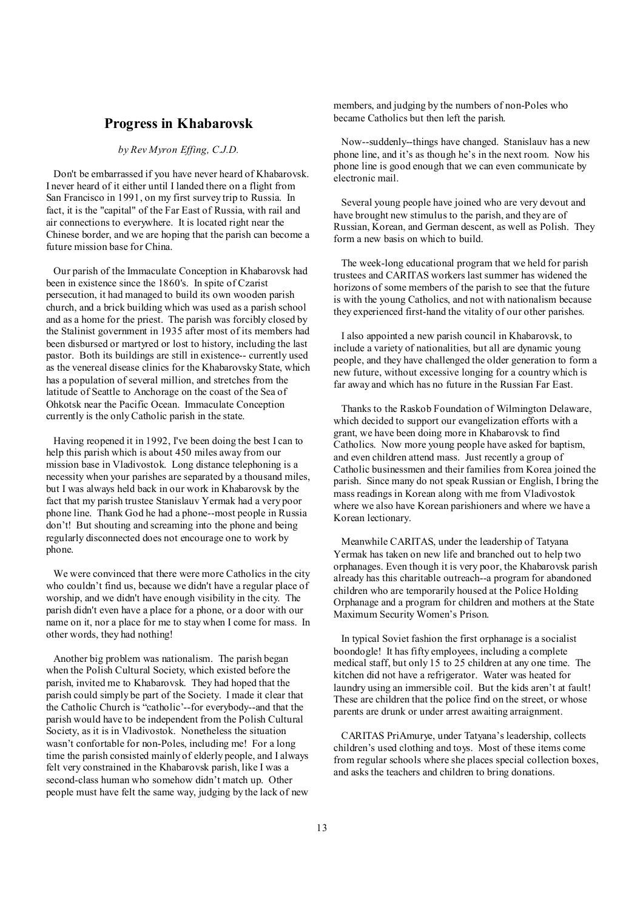### **Progress in Khabarovsk**

#### *by Rev Myron Effing, C.J.D.*

Don't be embarrassed if you have never heard of Khabarovsk. I never heard of it either until I landed there on a flight from San Francisco in 1991, on my first survey trip to Russia. In fact, it is the "capital" of the Far East of Russia, with rail and air connections to everywhere. It is located right near the Chinese border, and we are hoping that the parish can become a future mission base for China.

Our parish of the Immaculate Conception in Khabarovsk had been in existence since the 1860's. In spite of Czarist persecution, it had managed to build its own wooden parish church, and a brick building which was used as a parish school and as a home for the priest. The parish was forcibly closed by the Stalinist government in 1935 after most of its members had been disbursed or martyred or lost to history, including the last pastor. Both its buildings are still in existence-- currently used as the venereal disease clinics for the Khabarovsky State, which has a population of several million, and stretches from the latitude of Seattle to Anchorage on the coast of the Sea of Ohkotsk near the Pacific Ocean. Immaculate Conception currently is the onlyCatholic parish in the state.

Having reopened it in 1992, I've been doing the best I can to help this parish which is about 450 miles away from our mission base in Vladivostok. Long distance telephoning is a necessity when your parishes are separated by a thousand miles, but I was always held back in our work in Khabarovsk by the fact that my parish trustee Stanislauv Yermak had a very poor phone line. Thank God he had a phone--most people in Russia don't! But shouting and screaming into the phone and being regularly disconnected does not encourage one to work by phone.

We were convinced that there were more Catholics in the city who couldn't find us, because we didn't have a regular place of worship, and we didn't have enough visibility in the city. The parish didn't even have a place for a phone, or a door with our name on it, nor a place for me to stay when I come for mass. In other words, they had nothing!

Another big problem was nationalism. The parish began when the Polish Cultural Society, which existed before the parish, invited me to Khabarovsk. They had hoped that the parish could simply be part of the Society. I made it clear that the Catholic Church is "catholic'--for everybody--and that the parish would have to be independent from the Polish Cultural Society, as it is in Vladivostok. Nonetheless the situation wasn't confortable for non-Poles, including me! For a long time the parish consisted mainly of elderly people, and I always felt very constrained in the Khabarovsk parish, like I was a second-class human who somehow didn't match up. Other people must have felt the same way, judging by the lack of new

members, and judging by the numbers of non-Poles who became Catholics but then left the parish.

 Now--suddenly--things have changed. Stanislauv has a new phone line, and it's as though he's in the next room. Now his phone line is good enough that we can even communicate by electronic mail.

 Several young people have joined who are very devout and have brought new stimulus to the parish, and they are of Russian, Korean, and German descent, as well as Polish. They form a new basis on which to build.

 The week-long educational program that we held for parish trustees and CARITAS workers last summer has widened the horizons of some members of the parish to see that the future is with the young Catholics, and not with nationalism because they experienced first-hand the vitality of our other parishes.

 I also appointed a new parish council in Khabarovsk, to include a variety of nationalities, but all are dynamic young people, and they have challenged the older generation to form a new future, without excessive longing for a country which is far away and which has no future in the Russian Far East.

 Thanks to the Raskob Foundation of Wilmington Delaware, which decided to support our evangelization efforts with a grant, we have been doing more in Khabarovsk to find Catholics. Now more young people have asked for baptism, and even children attend mass. Just recently a group of Catholic businessmen and their families from Korea joined the parish. Since many do not speak Russian or English, I bring the mass readings in Korean along with me from Vladivostok where we also have Korean parishioners and where we have a Korean lectionary.

 Meanwhile CARITAS, under the leadership of Tatyana Yermak has taken on new life and branched out to help two orphanages. Even though it is very poor, the Khabarovsk parish already has this charitable outreach--a program for abandoned children who are temporarily housed at the Police Holding Orphanage and a program for children and mothers at the State Maximum Security Women's Prison.

 In typical Soviet fashion the first orphanage is a socialist boondogle! It has fifty employees, including a complete medical staff, but only 15 to 25 children at any one time. The kitchen did not have a refrigerator. Water was heated for laundry using an immersible coil. But the kids aren't at fault! These are children that the police find on the street, or whose parents are drunk or under arrest awaiting arraignment.

 CARITAS PriAmurye, under Tatyana's leadership, collects children's used clothing and toys. Most of these items come from regular schools where she places special collection boxes, and asks the teachers and children to bring donations.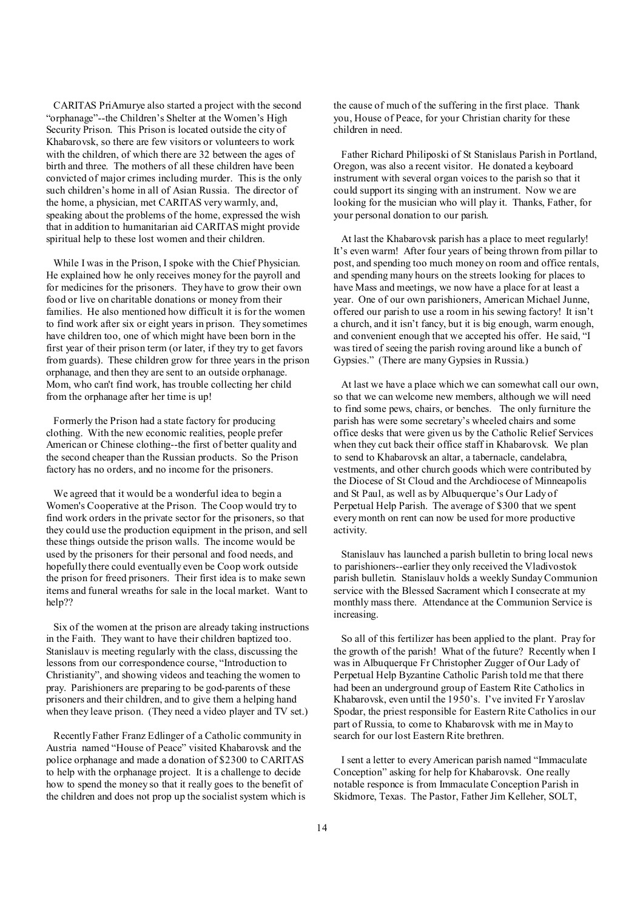CARITAS PriAmurye also started a project with the second "orphanage"--the Children's Shelter at the Women's High Security Prison. This Prison is located outside the city of Khabarovsk, so there are few visitors or volunteers to work with the children, of which there are 32 between the ages of birth and three. The mothers of all these children have been convicted of major crimes including murder. This is the only such children's home in all of Asian Russia. The director of the home, a physician, met CARITAS very warmly, and, speaking about the problems of the home, expressed the wish that in addition to humanitarian aid CARITAS might provide spiritual help to these lost women and their children.

While I was in the Prison, I spoke with the Chief Physician. He explained how he only receives money for the payroll and for medicines for the prisoners. They have to grow their own food or live on charitable donations or money from their families. He also mentioned how difficult it is for the women to find work after six or eight years in prison. They sometimes have children too, one of which might have been born in the first year of their prison term (or later, if they try to get favors from guards). These children grow for three years in the prison orphanage, and then they are sent to an outside orphanage. Mom, who can't find work, has trouble collecting her child from the orphanage after her time is up!

Formerly the Prison had a state factory for producing clothing. With the new economic realities, people prefer American or Chinese clothing--the first of better quality and the second cheaper than the Russian products. So the Prison factory has no orders, and no income for the prisoners.

We agreed that it would be a wonderful idea to begin a Women's Cooperative at the Prison. The Coop would try to find work orders in the private sector for the prisoners, so that they could use the production equipment in the prison, and sell these things outside the prison walls. The income would be used by the prisoners for their personal and food needs, and hopefully there could eventually even be Coop work outside the prison for freed prisoners. Their first idea is to make sewn items and funeral wreaths for sale in the local market. Want to help??

Six of the women at the prison are already taking instructions in the Faith. They want to have their children baptized too. Stanislauv is meeting regularly with the class, discussing the lessons from our correspondence course, "Introduction to Christianity", and showing videos and teaching the women to pray. Parishioners are preparing to be god-parents of these prisoners and their children, and to give them a helping hand when they leave prison. (They need a video player and TV set.)

Recently Father Franz Edlinger of a Catholic community in Austria named "House of Peace" visited Khabarovsk and the police orphanage and made a donation of \$2300 to CARITAS to help with the orphanage project. It is a challenge to decide how to spend the money so that it really goes to the benefit of the children and does not prop up the socialist system which is the cause of much of the suffering in the first place. Thank you, House of Peace, for your Christian charity for these children in need.

 Father Richard Philiposki of St Stanislaus Parish in Portland, Oregon, was also a recent visitor. He donated a keyboard instrument with several organ voices to the parish so that it could support its singing with an instrument. Now we are looking for the musician who will play it. Thanks, Father, for your personal donation to our parish.

 At last the Khabarovsk parish has a place to meet regularly! It's even warm! After four years of being thrown from pillar to post, and spending too much money on room and office rentals, and spending many hours on the streets looking for places to have Mass and meetings, we now have a place for at least a year. One of our own parishioners, American Michael Junne, offered our parish to use a room in his sewing factory! It isn't a church, and it isn't fancy, but it is big enough, warm enough, and convenient enough that we accepted his offer. He said, "I was tired of seeing the parish roving around like a bunch of Gypsies." (There are many Gypsies in Russia.)

 At last we have a place which we can somewhat call our own, so that we can welcome new members, although we will need to find some pews, chairs, or benches. The only furniture the parish has were some secretary's wheeled chairs and some office desks that were given us by the Catholic Relief Services when they cut back their office staff in Khabarovsk. We plan to send to Khabarovsk an altar, a tabernacle, candelabra, vestments, and other church goods which were contributed by the Diocese of St Cloud and the Archdiocese of Minneapolis and St Paul, as well as by Albuquerque's Our Lady of Perpetual Help Parish. The average of \$300 that we spent everymonth on rent can now be used for more productive activity.

 Stanislauv has launched a parish bulletin to bring local news to parishioners--earlier they only received the Vladivostok parish bulletin. Stanislauv holds a weekly SundayCommunion service with the Blessed Sacrament which I consecrate at my monthly mass there. Attendance at the Communion Service is increasing.

 So all of this fertilizer has been applied to the plant. Pray for the growth of the parish! What of the future? Recently when I was in Albuquerque Fr Christopher Zugger of Our Lady of Perpetual Help Byzantine Catholic Parish told me that there had been an underground group of Eastern Rite Catholics in Khabarovsk, even until the 1950's. I've invited Fr Yaroslav Spodar, the priest responsible for Eastern Rite Catholics in our part of Russia, to come to Khabarovsk with me in May to search for our lost Eastern Rite brethren.

 I sent a letter to every American parish named "Immaculate Conception" asking for help for Khabarovsk. One really notable responce is from Immaculate Conception Parish in Skidmore, Texas. The Pastor, Father Jim Kelleher, SOLT,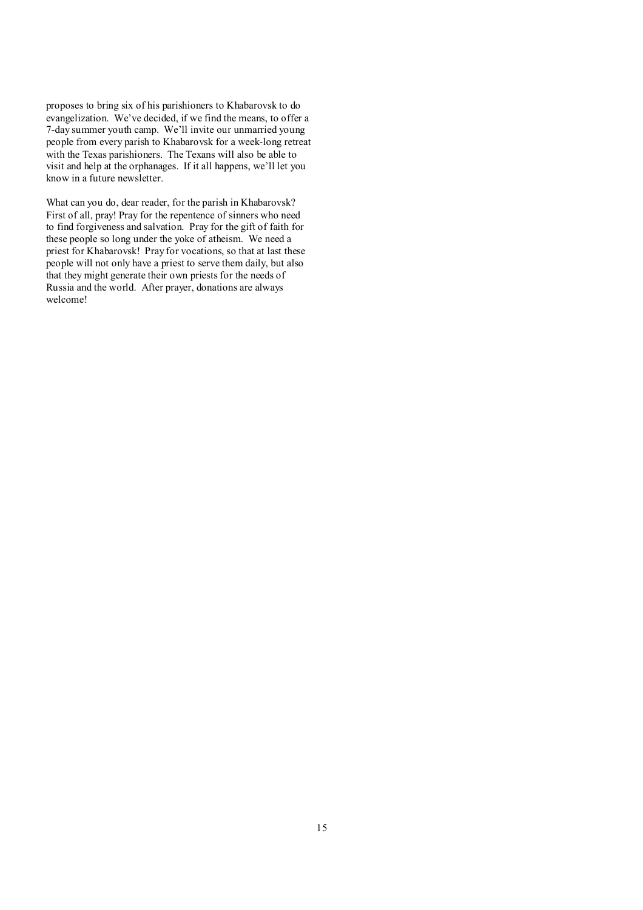proposes to bring six of his parishioners to Khabarovsk to do evangelization. We've decided, if we find the means, to offer a 7-day summer youth camp. We'll invite our unmarried young people from every parish to Khabarovsk for a week-long retreat with the Texas parishioners. The Texans will also be able to visit and help at the orphanages. If it all happens, we'll let you know in a future newsletter.

What can you do, dear reader, for the parish in Khabarovsk? First of all, pray! Pray for the repentence of sinners who need to find forgiveness and salvation. Pray for the gift of faith for these people so long under the yoke of atheism. We need a priest for Khabarovsk! Pray for vocations, so that at last these people will not only have a priest to serve them daily, but also that they might generate their own priests for the needs of Russia and the world. After prayer, donations are always welcome!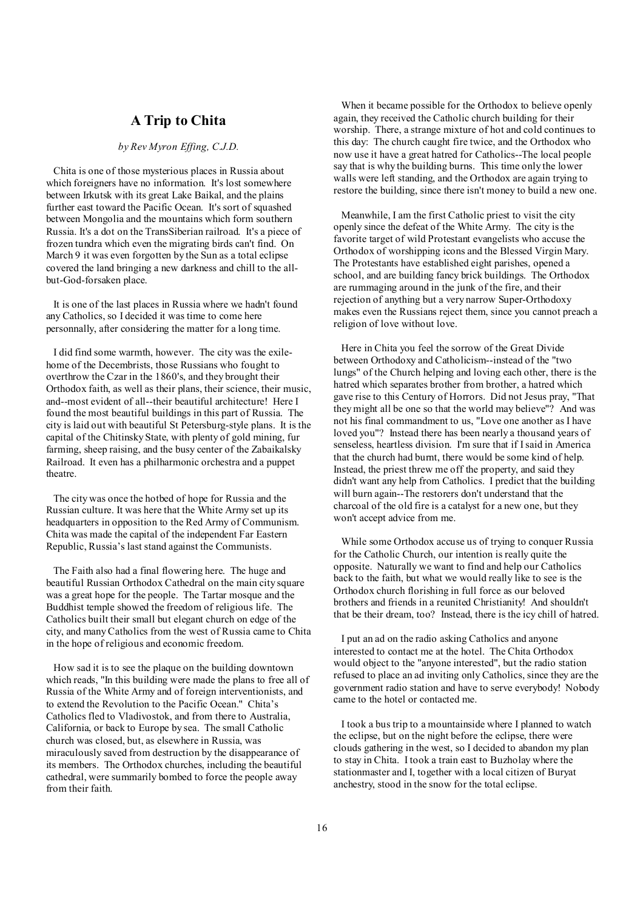## **A Trip to Chita**

#### *by Rev Myron Effing, C.J.D.*

Chita is one of those mysterious places in Russia about which foreigners have no information. It's lost somewhere between Irkutsk with its great Lake Baikal, and the plains further east toward the Pacific Ocean. It's sort of squashed between Mongolia and the mountains which form southern Russia. It's a dot on the TransSiberian railroad. It's a piece of frozen tundra which even the migrating birds can't find. On March 9 it was even forgotten by the Sun as a total eclipse covered the land bringing a new darkness and chill to the allbut-God-forsaken place.

It is one of the last places in Russia where we hadn't found any Catholics, so I decided it was time to come here personnally, after considering the matter for a long time.

I did find some warmth, however. The city was the exilehome of the Decembrists, those Russians who fought to overthrow the Czar in the 1860's, and they brought their Orthodox faith, as well as their plans, their science, their music, and--most evident of all--their beautiful architecture! Here I found the most beautiful buildings in this part of Russia. The city is laid out with beautiful St Petersburg-style plans. It is the capital of the Chitinsky State, with plenty of gold mining, fur farming, sheep raising, and the busy center of the Zabaikalsky Railroad. It even has a philharmonic orchestra and a puppet theatre.

The city was once the hotbed of hope for Russia and the Russian culture. It was here that the White Army set up its headquarters in opposition to the Red Army of Communism. Chita was made the capital of the independent Far Eastern Republic, Russia's last stand against the Communists.

The Faith also had a final flowering here. The huge and beautiful Russian Orthodox Cathedral on the main city square was a great hope for the people. The Tartar mosque and the Buddhist temple showed the freedom of religious life. The Catholics built their small but elegant church on edge of the city, and many Catholics from the west of Russia came to Chita in the hope of religious and economic freedom.

How sad it is to see the plaque on the building downtown which reads, "In this building were made the plans to free all of Russia of the White Army and of foreign interventionists, and to extend the Revolution to the Pacific Ocean." Chita's Catholics fled to Vladivostok, and from there to Australia, California, or back to Europe by sea. The small Catholic church was closed, but, as elsewhere in Russia, was miraculously saved from destruction by the disappearance of its members. The Orthodox churches, including the beautiful cathedral, were summarily bombed to force the people away from their faith.

 When it became possible for the Orthodox to believe openly again, they received the Catholic church building for their worship. There, a strange mixture of hot and cold continues to this day: The church caught fire twice, and the Orthodox who now use it have a great hatred for Catholics--The local people say that is why the building burns. This time only the lower walls were left standing, and the Orthodox are again trying to restore the building, since there isn't money to build a new one.

 Meanwhile, I am the first Catholic priest to visit the city openly since the defeat of the White Army. The city is the favorite target of wild Protestant evangelists who accuse the Orthodox of worshipping icons and the Blessed Virgin Mary. The Protestants have established eight parishes, opened a school, and are building fancy brick buildings. The Orthodox are rummaging around in the junk of the fire, and their rejection of anything but a very narrow Super-Orthodoxy makes even the Russians reject them, since you cannot preach a religion of love without love.

 Here in Chita you feel the sorrow of the Great Divide between Orthodoxy and Catholicism--instead of the "two lungs" of the Church helping and loving each other, there is the hatred which separates brother from brother, a hatred which gave rise to this Century of Horrors. Did not Jesus pray, "That they might all be one so that the world may believe"? And was not his final commandment to us, "Love one another as I have loved you"? Instead there has been nearly a thousand years of senseless, heartless division. I'm sure that if Isaid in America that the church had burnt, there would be some kind of help. Instead, the priest threw me off the property, and said they didn't want any help from Catholics. I predict that the building will burn again--The restorers don't understand that the charcoal of the old fire is a catalyst for a new one, but they won't accept advice from me.

 While some Orthodox accuse us of trying to conquer Russia for the Catholic Church, our intention is really quite the opposite. Naturally we want to find and help our Catholics back to the faith, but what we would really like to see is the Orthodox church florishing in full force as our beloved brothers and friends in a reunited Christianity! And shouldn't that be their dream, too? Instead, there is the icy chill of hatred.

 I put an ad on the radio asking Catholics and anyone interested to contact me at the hotel. The Chita Orthodox would object to the "anyone interested", but the radio station refused to place an ad inviting only Catholics, since they are the government radio station and have to serve everybody! Nobody came to the hotel or contacted me.

 I took a bus trip to a mountainside where I planned to watch the eclipse, but on the night before the eclipse, there were clouds gathering in the west, so I decided to abandon my plan to stay in Chita. I took a train east to Buzholay where the stationmaster and I, together with a local citizen of Buryat anchestry, stood in the snow for the total eclipse.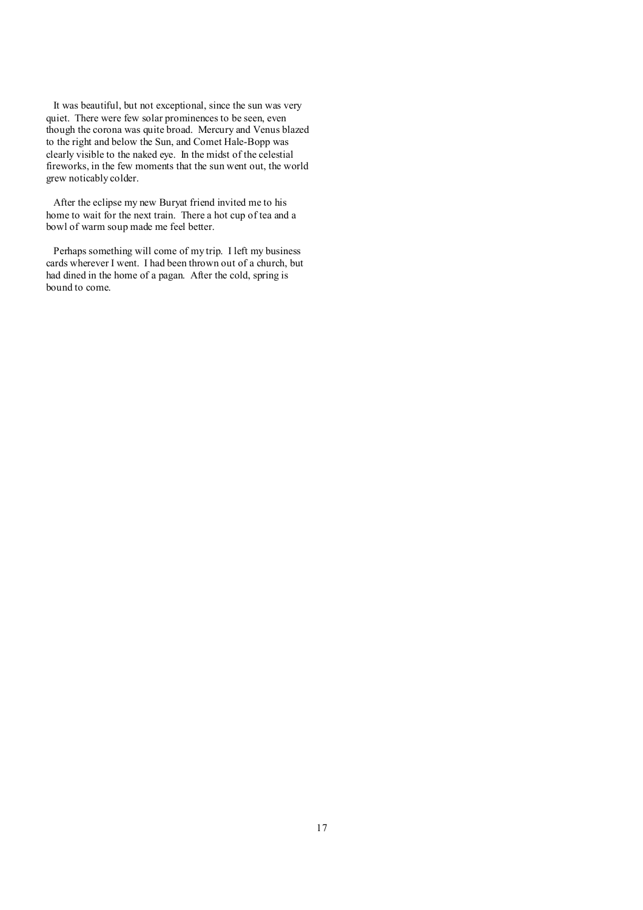It was beautiful, but not exceptional, since the sun was very quiet. There were few solar prominences to be seen, even though the corona was quite broad. Mercury and Venus blazed to the right and below the Sun, and Comet Hale-Bopp was clearly visible to the naked eye. In the midst of the celestial fireworks, in the few moments that the sun went out, the world grew noticably colder.

After the eclipse my new Buryat friend invited me to his home to wait for the next train. There a hot cup of tea and a bowl of warm soup made me feel better.

Perhaps something will come of my trip. I left my business cards wherever I went. I had been thrown out of a church, but had dined in the home of a pagan. After the cold, spring is bound to come.